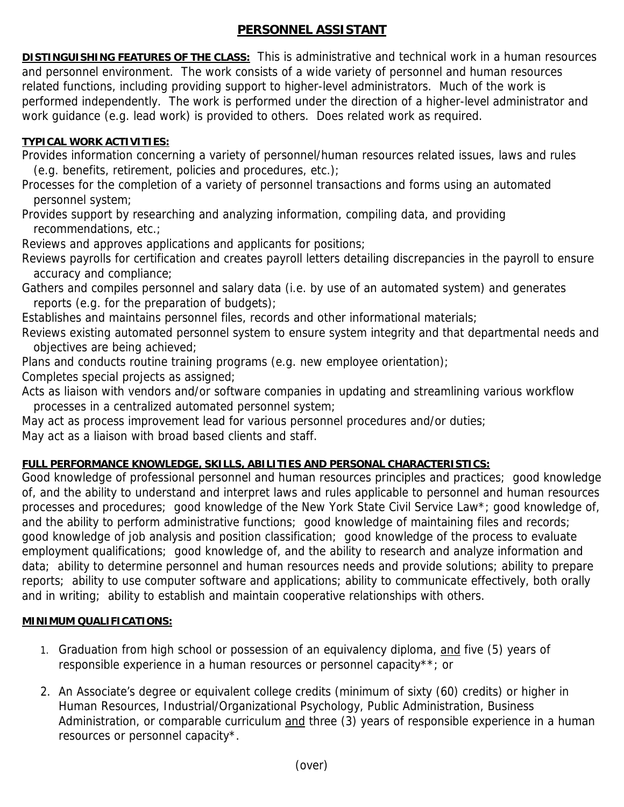## **PERSONNEL ASSISTANT**

**DISTINGUISHING FEATURES OF THE CLASS:** This is administrative and technical work in a human resources and personnel environment. The work consists of a wide variety of personnel and human resources related functions, including providing support to higher-level administrators. Much of the work is performed independently. The work is performed under the direction of a higher-level administrator and work guidance (e.g. lead work) is provided to others. Does related work as required.

## **TYPICAL WORK ACTIVITIES:**

Provides information concerning a variety of personnel/human resources related issues, laws and rules (e.g. benefits, retirement, policies and procedures, etc.);

Processes for the completion of a variety of personnel transactions and forms using an automated personnel system;

Provides support by researching and analyzing information, compiling data, and providing recommendations, etc.;

Reviews and approves applications and applicants for positions;

Reviews payrolls for certification and creates payroll letters detailing discrepancies in the payroll to ensure accuracy and compliance;

Gathers and compiles personnel and salary data (i.e. by use of an automated system) and generates reports (e.g. for the preparation of budgets);

Establishes and maintains personnel files, records and other informational materials;

Reviews existing automated personnel system to ensure system integrity and that departmental needs and objectives are being achieved;

Plans and conducts routine training programs (e.g. new employee orientation);

Completes special projects as assigned;

Acts as liaison with vendors and/or software companies in updating and streamlining various workflow processes in a centralized automated personnel system;

May act as process improvement lead for various personnel procedures and/or duties;

May act as a liaison with broad based clients and staff.

## **FULL PERFORMANCE KNOWLEDGE, SKILLS, ABILITIES AND PERSONAL CHARACTERISTICS:**

Good knowledge of professional personnel and human resources principles and practices; good knowledge of, and the ability to understand and interpret laws and rules applicable to personnel and human resources processes and procedures; good knowledge of the New York State Civil Service Law\*; good knowledge of, and the ability to perform administrative functions; good knowledge of maintaining files and records; good knowledge of job analysis and position classification; good knowledge of the process to evaluate employment qualifications; good knowledge of, and the ability to research and analyze information and data; ability to determine personnel and human resources needs and provide solutions; ability to prepare reports; ability to use computer software and applications; ability to communicate effectively, both orally and in writing; ability to establish and maintain cooperative relationships with others.

## **MINIMUM QUALIFICATIONS:**

- 1. Graduation from high school or possession of an equivalency diploma, and five (5) years of responsible experience in a human resources or personnel capacity\*\*; or
- 2. An Associate's degree or equivalent college credits (minimum of sixty (60) credits) or higher in Human Resources, Industrial/Organizational Psychology, Public Administration, Business Administration, or comparable curriculum and three (3) years of responsible experience in a human resources or personnel capacity\*.